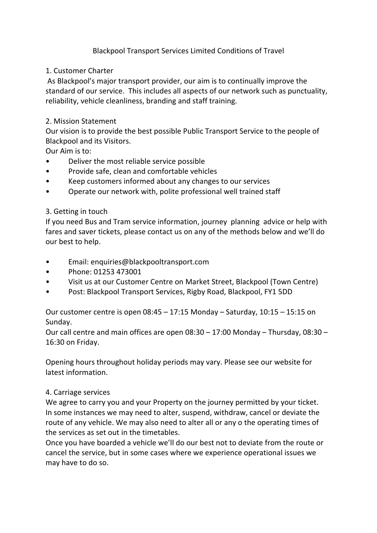## Blackpool Transport Services Limited Conditions of Travel

### 1. Customer Charter

As Blackpool's major transport provider, our aim is to continually improve the standard of our service. This includes all aspects of our network such as punctuality, reliability, vehicle cleanliness, branding and staff training.

### 2. Mission Statement

Our vision is to provide the best possible Public Transport Service to the people of Blackpool and its Visitors.

Our Aim is to:

- Deliver the most reliable service possible
- Provide safe, clean and comfortable vehicles
- Keep customers informed about any changes to our services
- Operate our network with, polite professional well trained staff

## 3. Getting in touch

If you need Bus and Tram service information, journey planning advice or help with fares and saver tickets, please contact us on any of the methods below and we'll do our best to help.

- Email: enquiries@blackpooltransport.com
- Phone: 01253 473001
- Visit us at our Customer Centre on Market Street, Blackpool (Town Centre)
- Post: Blackpool Transport Services, Rigby Road, Blackpool, FY1 5DD

Our customer centre is open 08:45 – 17:15 Monday – Saturday, 10:15 – 15:15 on Sunday.

Our call centre and main offices are open 08:30 – 17:00 Monday – Thursday, 08:30 – 16:30 on Friday.

Opening hours throughout holiday periods may vary. Please see our website for latest information.

### 4. Carriage services

We agree to carry you and your Property on the journey permitted by your ticket. In some instances we may need to alter, suspend, withdraw, cancel or deviate the route of any vehicle. We may also need to alter all or any o the operating times of the services as set out in the timetables.

Once you have boarded a vehicle we'll do our best not to deviate from the route or cancel the service, but in some cases where we experience operational issues we may have to do so.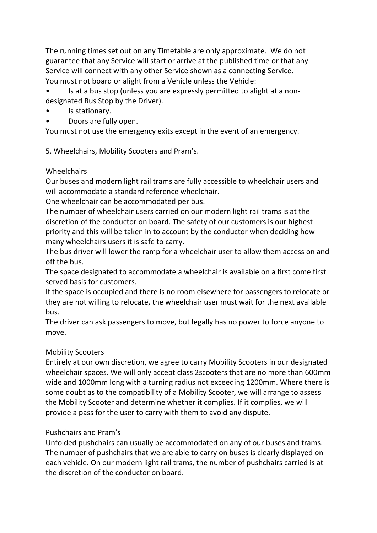The running times set out on any Timetable are only approximate. We do not guarantee that any Service will start or arrive at the published time or that any Service will connect with any other Service shown as a connecting Service. You must not board or alight from a Vehicle unless the Vehicle:

• Is at a bus stop (unless you are expressly permitted to alight at a nondesignated Bus Stop by the Driver).

- Is stationary.
- Doors are fully open.

You must not use the emergency exits except in the event of an emergency.

5. Wheelchairs, Mobility Scooters and Pram's.

### Wheelchairs

Our buses and modern light rail trams are fully accessible to wheelchair users and will accommodate a standard reference wheelchair.

One wheelchair can be accommodated per bus.

The number of wheelchair users carried on our modern light rail trams is at the discretion of the conductor on board. The safety of our customers is our highest priority and this will be taken in to account by the conductor when deciding how many wheelchairs users it is safe to carry.

The bus driver will lower the ramp for a wheelchair user to allow them access on and off the bus.

The space designated to accommodate a wheelchair is available on a first come first served basis for customers.

If the space is occupied and there is no room elsewhere for passengers to relocate or they are not willing to relocate, the wheelchair user must wait for the next available bus.

The driver can ask passengers to move, but legally has no power to force anyone to move.

### Mobility Scooters

Entirely at our own discretion, we agree to carry Mobility Scooters in our designated wheelchair spaces. We will only accept class 2scooters that are no more than 600mm wide and 1000mm long with a turning radius not exceeding 1200mm. Where there is some doubt as to the compatibility of a Mobility Scooter, we will arrange to assess the Mobility Scooter and determine whether it complies. If it complies, we will provide a pass for the user to carry with them to avoid any dispute.

## Pushchairs and Pram's

Unfolded pushchairs can usually be accommodated on any of our buses and trams. The number of pushchairs that we are able to carry on buses is clearly displayed on each vehicle. On our modern light rail trams, the number of pushchairs carried is at the discretion of the conductor on board.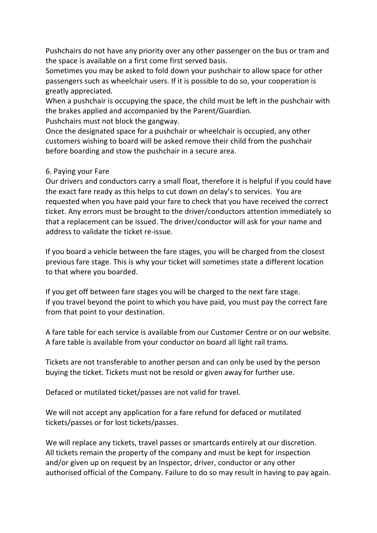Pushchairs do not have any priority over any other passenger on the bus or tram and the space is available on a first come first served basis.

Sometimes you may be asked to fold down your pushchair to allow space for other passengers such as wheelchair users. If it is possible to do so, your cooperation is greatly appreciated.

When a pushchair is occupying the space, the child must be left in the pushchair with the brakes applied and accompanied by the Parent/Guardian.

Pushchairs must not block the gangway.

Once the designated space for a pushchair or wheelchair is occupied, any other customers wishing to board will be asked remove their child from the pushchair before boarding and stow the pushchair in a secure area.

### 6. Paying your Fare

Our drivers and conductors carry a small float, therefore it is helpful if you could have the exact fare ready as this helps to cut down on delay's to services. You are requested when you have paid your fare to check that you have received the correct ticket. Any errors must be brought to the driver/conductors attention immediately so that a replacement can be issued. The driver/conductor will ask for your name and address to validate the ticket re-issue.

If you board a vehicle between the fare stages, you will be charged from the closest previous fare stage. This is why your ticket will sometimes state a different location to that where you boarded.

If you get off between fare stages you will be charged to the next fare stage. If you travel beyond the point to which you have paid, you must pay the correct fare from that point to your destination.

A fare table for each service is available from our Customer Centre or on our website. A fare table is available from your conductor on board all light rail trams.

Tickets are not transferable to another person and can only be used by the person buying the ticket. Tickets must not be resold or given away for further use.

Defaced or mutilated ticket/passes are not valid for travel.

We will not accept any application for a fare refund for defaced or mutilated tickets/passes or for lost tickets/passes.

We will replace any tickets, travel passes or smartcards entirely at our discretion. All tickets remain the property of the company and must be kept for inspection and/or given up on request by an Inspector, driver, conductor or any other authorised official of the Company. Failure to do so may result in having to pay again.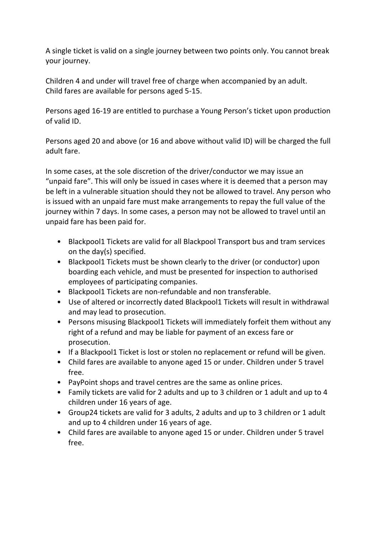A single ticket is valid on a single journey between two points only. You cannot break your journey.

Children 4 and under will travel free of charge when accompanied by an adult. Child fares are available for persons aged 5-15.

Persons aged 16-19 are entitled to purchase a Young Person's ticket upon production of valid ID.

Persons aged 20 and above (or 16 and above without valid ID) will be charged the full adult fare.

In some cases, at the sole discretion of the driver/conductor we may issue an "unpaid fare". This will only be issued in cases where it is deemed that a person may be left in a vulnerable situation should they not be allowed to travel. Any person who is issued with an unpaid fare must make arrangements to repay the full value of the journey within 7 days. In some cases, a person may not be allowed to travel until an unpaid fare has been paid for.

- Blackpool1 Tickets are valid for all Blackpool Transport bus and tram services on the day(s) specified.
- Blackpool1 Tickets must be shown clearly to the driver (or conductor) upon boarding each vehicle, and must be presented for inspection to authorised employees of participating companies.
- Blackpool1 Tickets are non-refundable and non transferable.
- Use of altered or incorrectly dated Blackpool1 Tickets will result in withdrawal and may lead to prosecution.
- Persons misusing Blackpool1 Tickets will immediately forfeit them without any right of a refund and may be liable for payment of an excess fare or prosecution.
- If a Blackpool1 Ticket is lost or stolen no replacement or refund will be given.
- Child fares are available to anyone aged 15 or under. Children under 5 travel free.
- PayPoint shops and travel centres are the same as online prices.
- Family tickets are valid for 2 adults and up to 3 children or 1 adult and up to 4 children under 16 years of age.
- Group24 tickets are valid for 3 adults, 2 adults and up to 3 children or 1 adult and up to 4 children under 16 years of age.
- Child fares are available to anyone aged 15 or under. Children under 5 travel free.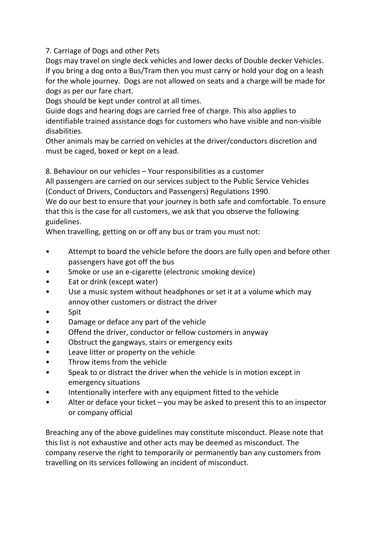7. Carriage of Dogs and other Pets

Dogs may travel on single deck vehicles and lower decks of Double decker Vehicles. If you bring a dog onto a Bus/Tram then you must carry or hold your dog on a leash for the whole journey. Dogs are not allowed on seats and a charge will be made for dogs as per our fare chart.

Dogs should be kept under control at all times.

Guide dogs and hearing dogs are carried free of charge. This also applies to identifiable trained assistance dogs for customers who have visible and non-visible disabilities.

Other animals may be carried on vehicles at the driver/conductors discretion and must be caged, boxed or kept on a lead.

8. Behaviour on our vehicles – Your responsibilities as a customer

All passengers are carried on our services subject to the Public Service Vehicles (Conduct of Drivers, Conductors and Passengers) Regulations 1990.

We do our best to ensure that your journey is both safe and comfortable. To ensure that this is the case for all customers, we ask that you observe the following guidelines.

When travelling, getting on or off any bus or tram you must not:

- Attempt to board the vehicle before the doors are fully open and before other passengers have got off the bus
- Smoke or use an e-cigarette (electronic smoking device)
- Eat or drink (except water)
- Use a music system without headphones or set it at a volume which may annoy other customers or distract the driver
- Spit
- Damage or deface any part of the vehicle
- Offend the driver, conductor or fellow customers in anyway
- Obstruct the gangways, stairs or emergency exits
- Leave litter or property on the vehicle
- Throw items from the vehicle
- Speak to or distract the driver when the vehicle is in motion except in emergency situations
- Intentionally interfere with any equipment fitted to the vehicle
- Alter or deface your ticket  $-$  you may be asked to present this to an inspector or company official

Breaching any of the above guidelines may constitute misconduct. Please note that this list is not exhaustive and other acts may be deemed as misconduct. The company reserve the right to temporarily or permanently ban any customers from travelling on its services following an incident of misconduct.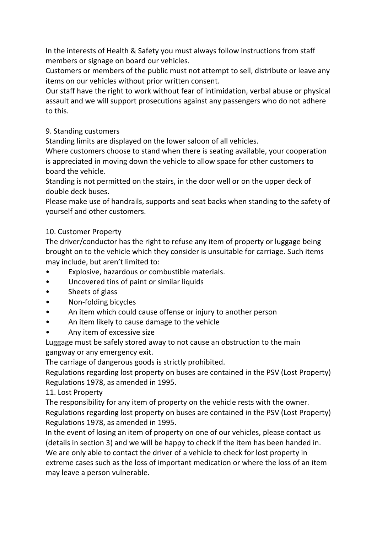In the interests of Health & Safety you must always follow instructions from staff members or signage on board our vehicles.

Customers or members of the public must not attempt to sell, distribute or leave any items on our vehicles without prior written consent.

Our staff have the right to work without fear of intimidation, verbal abuse or physical assault and we will support prosecutions against any passengers who do not adhere to this.

## 9. Standing customers

Standing limits are displayed on the lower saloon of all vehicles.

Where customers choose to stand when there is seating available, your cooperation is appreciated in moving down the vehicle to allow space for other customers to board the vehicle.

Standing is not permitted on the stairs, in the door well or on the upper deck of double deck buses.

Please make use of handrails, supports and seat backs when standing to the safety of yourself and other customers.

## 10. Customer Property

The driver/conductor has the right to refuse any item of property or luggage being brought on to the vehicle which they consider is unsuitable for carriage. Such items may include, but aren't limited to:

- Explosive, hazardous or combustible materials.
- Uncovered tins of paint or similar liquids
- Sheets of glass
- Non-folding bicycles
- An item which could cause offense or injury to another person
- An item likely to cause damage to the vehicle
- Any item of excessive size

Luggage must be safely stored away to not cause an obstruction to the main gangway or any emergency exit.

The carriage of dangerous goods is strictly prohibited.

Regulations regarding lost property on buses are contained in the PSV (Lost Property) Regulations 1978, as amended in 1995.

11. Lost Property

The responsibility for any item of property on the vehicle rests with the owner. Regulations regarding lost property on buses are contained in the PSV (Lost Property) Regulations 1978, as amended in 1995.

In the event of losing an item of property on one of our vehicles, please contact us (details in section 3) and we will be happy to check if the item has been handed in. We are only able to contact the driver of a vehicle to check for lost property in extreme cases such as the loss of important medication or where the loss of an item may leave a person vulnerable.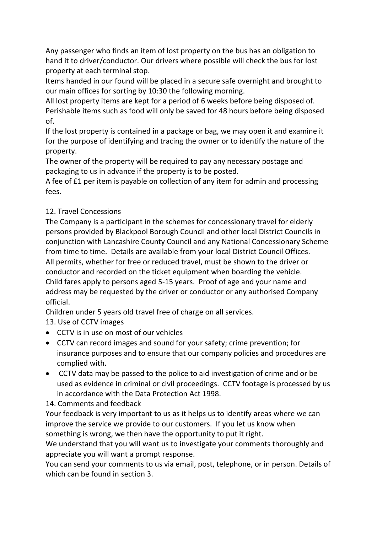Any passenger who finds an item of lost property on the bus has an obligation to hand it to driver/conductor. Our drivers where possible will check the bus for lost property at each terminal stop.

Items handed in our found will be placed in a secure safe overnight and brought to our main offices for sorting by 10:30 the following morning.

All lost property items are kept for a period of 6 weeks before being disposed of. Perishable items such as food will only be saved for 48 hours before being disposed of.

If the lost property is contained in a package or bag, we may open it and examine it for the purpose of identifying and tracing the owner or to identify the nature of the property.

The owner of the property will be required to pay any necessary postage and packaging to us in advance if the property is to be posted.

A fee of £1 per item is payable on collection of any item for admin and processing fees.

# 12. Travel Concessions

The Company is a participant in the schemes for concessionary travel for elderly persons provided by Blackpool Borough Council and other local District Councils in conjunction with Lancashire County Council and any National Concessionary Scheme from time to time. Details are available from your local District Council Offices. All permits, whether for free or reduced travel, must be shown to the driver or conductor and recorded on the ticket equipment when boarding the vehicle. Child fares apply to persons aged 5-15 years. Proof of age and your name and address may be requested by the driver or conductor or any authorised Company official.

Children under 5 years old travel free of charge on all services.

13. Use of CCTV images

- CCTV is in use on most of our vehicles
- CCTV can record images and sound for your safety; crime prevention; for insurance purposes and to ensure that our company policies and procedures are complied with.
- CCTV data may be passed to the police to aid investigation of crime and or be used as evidence in criminal or civil proceedings. CCTV footage is processed by us in accordance with the Data Protection Act 1998.

## 14. Comments and feedback

Your feedback is very important to us as it helps us to identify areas where we can improve the service we provide to our customers. If you let us know when something is wrong, we then have the opportunity to put it right.

We understand that you will want us to investigate your comments thoroughly and appreciate you will want a prompt response.

You can send your comments to us via email, post, telephone, or in person. Details of which can be found in section 3.